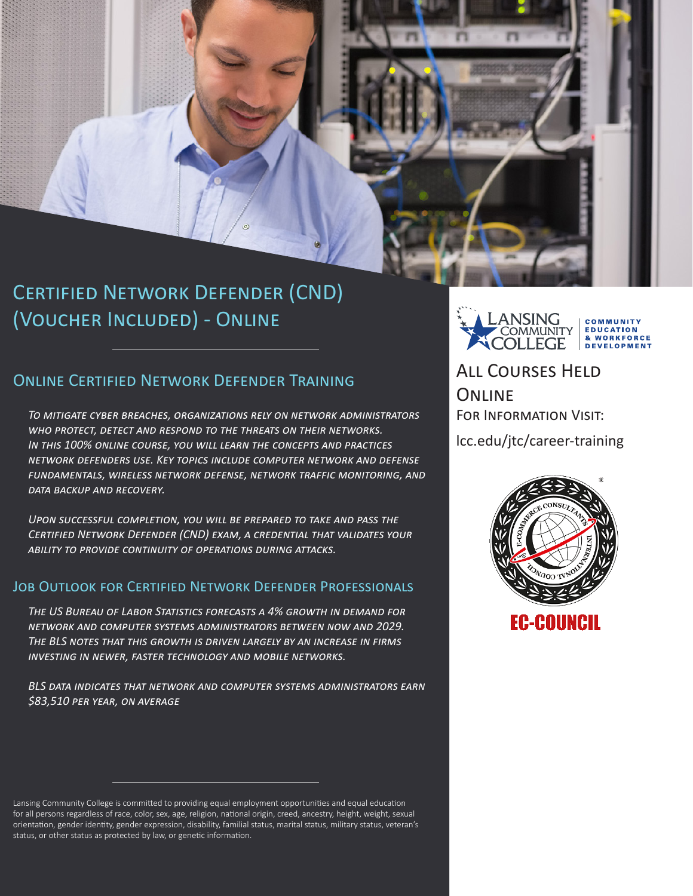

# Certified Network Defender (CND) (Voucher Included) - Online

### Online Certified Network Defender Training

*To mitigate cyber breaches, organizations rely on network administrators who protect, detect and respond to the threats on their networks. In this 100% online course, you will learn the concepts and practices network defenders use. Key topics include computer network and defense fundamentals, wireless network defense, network traffic monitoring, and data backup and recovery.* 

*Upon successful completion, you will be prepared to take and pass the Certified Network Defender (CND) exam, a credential that validates your ability to provide continuity of operations during attacks.* 

### Job Outlook for Certified Network Defender Professionals

*The US Bureau of Labor Statistics forecasts a 4% growth in demand for network and computer systems administrators between now and 2029. The BLS notes that this growth is driven largely by an increase in firms investing in newer, faster technology and mobile networks.*

*BLS data indicates that network and computer systems administrators earn \$83,510 per year, on average*

ANSING COMMUNITY **EDUCATION OMMUNITY** & WORKFORCE **DEVELOPMENT** 

All Courses Held **ONLINE** For Information Visit:

lcc.edu/jtc/career-training



Lansing Community College is committed to providing equal employment opportunities and equal education for all persons regardless of race, color, sex, age, religion, national origin, creed, ancestry, height, weight, sexual orientation, gender identity, gender expression, disability, familial status, marital status, military status, veteran's status, or other status as protected by law, or genetic information.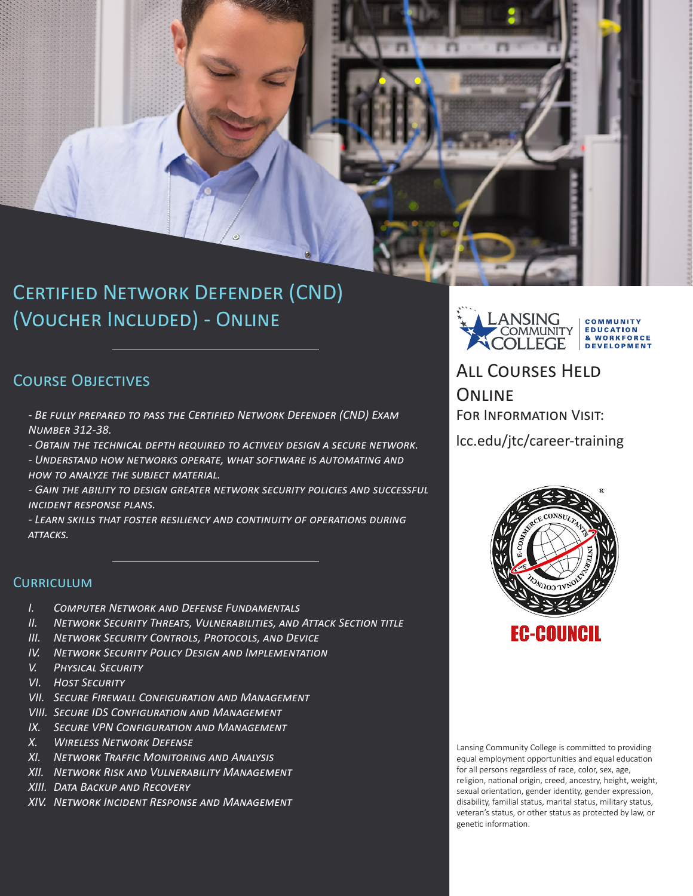

# (Voucher Included) - Online

## COURSE OBJECTIVES

*- Be fully prepared to pass the Certified Network Defender (CND) Exam Number 312-38.*

*- Obtain the technical depth required to actively design a secure network.*

*- Understand how networks operate, what software is automating and how to analyze the subject material.*

*- Gain the ability to design greater network security policies and successful incident response plans.*

*- Learn skills that foster resiliency and continuity of operations during attacks.*

### **CURRICULUM**

- *I. Computer Network and Defense Fundamentals*
- *II. Network Security Threats, Vulnerabilities, and Attack Section title*
- *III. Network Security Controls, Protocols, and Device*
- *IV. Network Security Policy Design and Implementation*
- *V. Physical Security*
- *VI. Host Security*
- *VII. Secure Firewall Configuration and Management*
- *VIII. Secure IDS Configuration and Management*
- *IX. Secure VPN Configuration and Management*
- *X. Wireless Network Defense*
- *XI. Network Traffic Monitoring and Analysis*
- *XII. Network Risk and Vulnerability Management*
- *XIII. Data Backup and Recovery*
- *XIV. Network Incident Response and Management*



All Courses Held **ONLINE** For Information Visit:

lcc.edu/jtc/career-training



Lansing Community College is committed to providing equal employment opportunities and equal education for all persons regardless of race, color, sex, age, religion, national origin, creed, ancestry, height, weight, sexual orientation, gender identity, gender expression, disability, familial status, marital status, military status, veteran's status, or other status as protected by law, or genetic information.